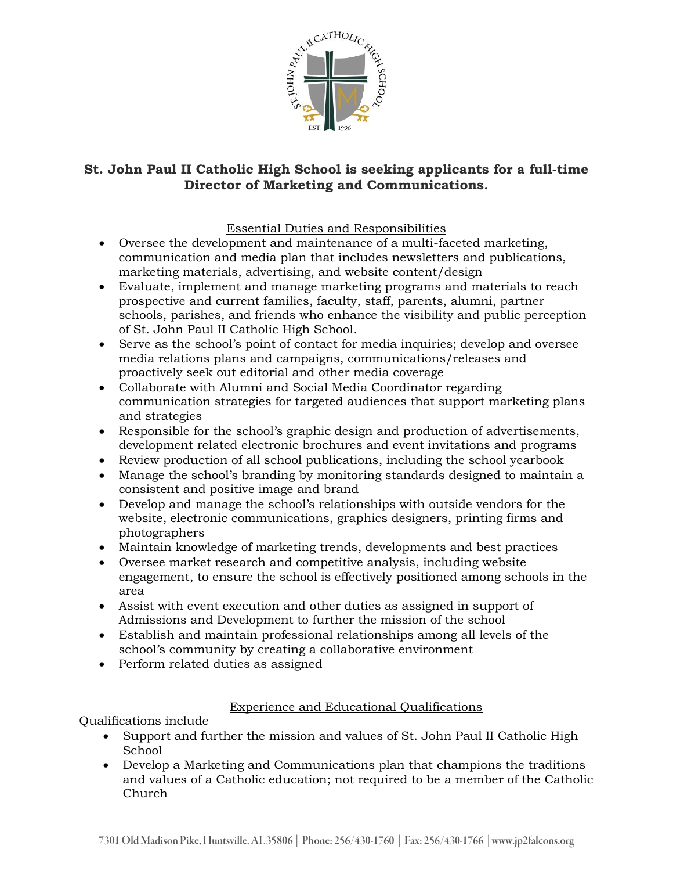

# **St. John Paul II Catholic High School is seeking applicants for a full-time Director of Marketing and Communications.**

## Essential Duties and Responsibilities

- Oversee the development and maintenance of a multi-faceted marketing, communication and media plan that includes newsletters and publications, marketing materials, advertising, and website content/design
- Evaluate, implement and manage marketing programs and materials to reach prospective and current families, faculty, staff, parents, alumni, partner schools, parishes, and friends who enhance the visibility and public perception of St. John Paul II Catholic High School.
- Serve as the school's point of contact for media inquiries; develop and oversee media relations plans and campaigns, communications/releases and proactively seek out editorial and other media coverage
- Collaborate with Alumni and Social Media Coordinator regarding communication strategies for targeted audiences that support marketing plans and strategies
- Responsible for the school's graphic design and production of advertisements, development related electronic brochures and event invitations and programs
- Review production of all school publications, including the school yearbook
- Manage the school's branding by monitoring standards designed to maintain a consistent and positive image and brand
- Develop and manage the school's relationships with outside vendors for the website, electronic communications, graphics designers, printing firms and photographers
- Maintain knowledge of marketing trends, developments and best practices
- Oversee market research and competitive analysis, including website engagement, to ensure the school is effectively positioned among schools in the area
- Assist with event execution and other duties as assigned in support of Admissions and Development to further the mission of the school
- Establish and maintain professional relationships among all levels of the school's community by creating a collaborative environment
- Perform related duties as assigned

## Experience and Educational Qualifications

Qualifications include

- Support and further the mission and values of St. John Paul II Catholic High School
- Develop a Marketing and Communications plan that champions the traditions and values of a Catholic education; not required to be a member of the Catholic Church